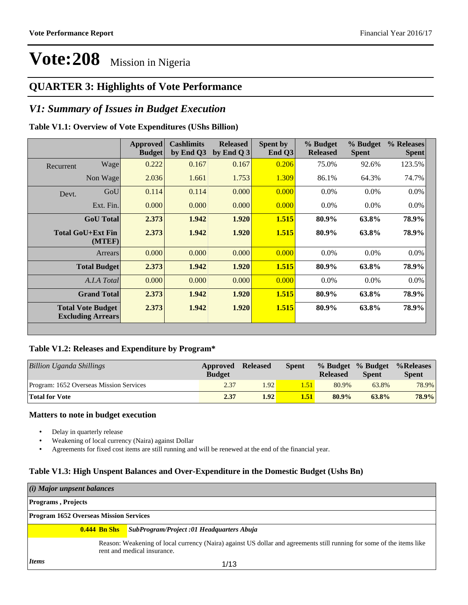### **QUARTER 3: Highlights of Vote Performance**

### *V1: Summary of Issues in Budget Execution*

#### **Table V1.1: Overview of Vote Expenditures (UShs Billion)**

|           |                                                      | Approved<br><b>Budget</b> | <b>Cashlimits</b><br>by End Q3 | <b>Released</b><br>by End Q $3$ | Spent by<br>End $Q3$ | % Budget<br><b>Released</b> | % Budget<br><b>Spent</b> | % Releases<br><b>Spent</b> |
|-----------|------------------------------------------------------|---------------------------|--------------------------------|---------------------------------|----------------------|-----------------------------|--------------------------|----------------------------|
| Recurrent | Wage                                                 | 0.222                     | 0.167                          | 0.167                           | 0.206                | 75.0%                       | 92.6%                    | 123.5%                     |
|           | Non Wage                                             | 2.036                     | 1.661                          | 1.753                           | 1.309                | 86.1%                       | 64.3%                    | 74.7%                      |
| Devt.     | GoU                                                  | 0.114                     | 0.114                          | 0.000                           | 0.000                | $0.0\%$                     | 0.0%                     | $0.0\%$                    |
|           | Ext. Fin.                                            | 0.000                     | 0.000                          | 0.000                           | 0.000                | $0.0\%$                     | $0.0\%$                  | $0.0\%$                    |
|           | <b>GoU</b> Total                                     | 2.373                     | 1.942                          | 1.920                           | 1.515                | 80.9%                       | 63.8%                    | 78.9%                      |
|           | <b>Total GoU+Ext Fin</b><br>(MTEF)                   | 2.373                     | 1.942                          | 1.920                           | 1.515                | 80.9%                       | 63.8%                    | 78.9%                      |
|           | Arrears                                              | 0.000                     | 0.000                          | 0.000                           | 0.000                | $0.0\%$                     | 0.0%                     | 0.0%                       |
|           | <b>Total Budget</b>                                  | 2.373                     | 1.942                          | 1.920                           | 1.515                | 80.9%                       | 63.8%                    | 78.9%                      |
|           | A.I.A Total                                          | 0.000                     | 0.000                          | 0.000                           | 0.000                | $0.0\%$                     | $0.0\%$                  | $0.0\%$                    |
|           | <b>Grand Total</b>                                   | 2.373                     | 1.942                          | 1.920                           | 1.515                | 80.9%                       | 63.8%                    | 78.9%                      |
|           | <b>Total Vote Budget</b><br><b>Excluding Arrears</b> | 2.373                     | 1.942                          | 1.920                           | 1.515                | 80.9%                       | 63.8%                    | 78.9%                      |

#### **Table V1.2: Releases and Expenditure by Program\***

| Billion Uganda Shillings                | Approved<br><b>Budget</b> | <b>Released</b> | Spent      | <b>Released</b> | % Budget % Budget<br><b>Spent</b> | %Releases<br><b>Spent</b> |
|-----------------------------------------|---------------------------|-----------------|------------|-----------------|-----------------------------------|---------------------------|
| Program: 1652 Overseas Mission Services | 2.37                      | 1.92            | <b>.51</b> | 80.9%           | 63.8%                             | 78.9%                     |
| <b>Total for Vote</b>                   | 2.37                      | 1.92            | 1.51       | $80.9\%$        | 63.8%                             | 78.9%                     |

#### **Matters to note in budget execution**

- Delay in quarterly release
- Weakening of local currency (Naira) against Dollar
- Agreements for fixed cost items are still running and will be renewed at the end of the financial year.

#### **Table V1.3: High Unspent Balances and Over-Expenditure in the Domestic Budget (Ushs Bn)**

| $(i)$ Major unpsent balances                  |                                                                                                                                                      |  |  |  |  |  |
|-----------------------------------------------|------------------------------------------------------------------------------------------------------------------------------------------------------|--|--|--|--|--|
| <b>Programs, Projects</b>                     |                                                                                                                                                      |  |  |  |  |  |
| <b>Program 1652 Overseas Mission Services</b> |                                                                                                                                                      |  |  |  |  |  |
| $0.444$ Bn Shs                                | SubProgram/Project :01 Headquarters Abuja                                                                                                            |  |  |  |  |  |
|                                               | Reason: Weakening of local currency (Naira) against US dollar and agreements still running for some of the items like<br>rent and medical insurance. |  |  |  |  |  |
| <i>Items</i>                                  | 1/13                                                                                                                                                 |  |  |  |  |  |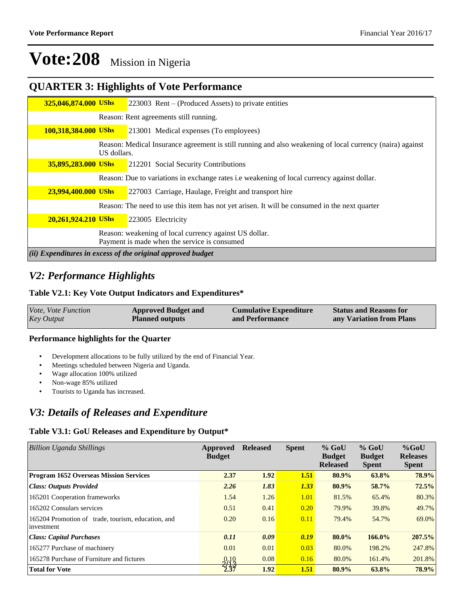### **QUARTER 3: Highlights of Vote Performance**

| 325,046,874.000 UShs                                        |             | 223003 Rent – (Produced Assets) to private entities                                                       |  |  |  |  |  |  |
|-------------------------------------------------------------|-------------|-----------------------------------------------------------------------------------------------------------|--|--|--|--|--|--|
|                                                             |             | Reason: Rent agreements still running.                                                                    |  |  |  |  |  |  |
| <b>100,318,384.000 UShs</b>                                 |             | 213001 Medical expenses (To employees)                                                                    |  |  |  |  |  |  |
|                                                             | US dollars. | Reason: Medical Insurance agreement is still running and also weakening of local currency (naira) against |  |  |  |  |  |  |
| 35,895,283.000 UShs                                         |             | 212201 Social Security Contributions                                                                      |  |  |  |  |  |  |
|                                                             |             | Reason: Due to variations in exchange rates i.e weakening of local currency against dollar.               |  |  |  |  |  |  |
| 23,994,400.000 UShs                                         |             | 227003 Carriage, Haulage, Freight and transport hire                                                      |  |  |  |  |  |  |
|                                                             |             | Reason: The need to use this item has not yet arisen. It will be consumed in the next quarter             |  |  |  |  |  |  |
| 20,261,924.210 UShs                                         |             | 223005 Electricity                                                                                        |  |  |  |  |  |  |
|                                                             |             | Reason: weakening of local currency against US dollar.<br>Payment is made when the service is consumed    |  |  |  |  |  |  |
| (ii) Expenditures in excess of the original approved budget |             |                                                                                                           |  |  |  |  |  |  |

### *V2: Performance Highlights*

#### **Table V2.1: Key Vote Output Indicators and Expenditures\***

| <b>Key Output</b><br>any Variation from Plans<br><b>Planned outputs</b><br>and Performance | Vote, Vote Function | <b>Approved Budget and</b> | <b>Cumulative Expenditure</b> | <b>Status and Reasons for</b> |
|--------------------------------------------------------------------------------------------|---------------------|----------------------------|-------------------------------|-------------------------------|
|--------------------------------------------------------------------------------------------|---------------------|----------------------------|-------------------------------|-------------------------------|

#### **Performance highlights for the Quarter**

- Development allocations to be fully utilized by the end of Financial Year.
- Meetings scheduled between Nigeria and Uganda.
- Wage allocation 100% utilized
- Non-wage 85% utilized
- Tourists to Uganda has increased.

### *V3: Details of Releases and Expenditure*

#### **Table V3.1: GoU Releases and Expenditure by Output\***

| Billion Uganda Shillings                                         | Approved<br><b>Budget</b> | <b>Released</b> | <b>Spent</b> | $%$ GoU<br><b>Budget</b><br><b>Released</b> | $%$ GoU<br><b>Budget</b><br><b>Spent</b> | $%$ GoU<br><b>Releases</b><br><b>Spent</b> |
|------------------------------------------------------------------|---------------------------|-----------------|--------------|---------------------------------------------|------------------------------------------|--------------------------------------------|
| <b>Program 1652 Overseas Mission Services</b>                    | 2.37                      | 1.92            | 1.51         | 80.9%                                       | 63.8%                                    | 78.9%                                      |
| <b>Class: Outputs Provided</b>                                   | 2.26                      | 1.83            | 1.33         | 80.9%                                       | 58.7%                                    | 72.5%                                      |
| 165201 Cooperation frameworks                                    | 1.54                      | 1.26            | 1.01         | 81.5%                                       | 65.4%                                    | 80.3%                                      |
| 165202 Consulars services                                        | 0.51                      | 0.41            | 0.20         | 79.9%                                       | 39.8%                                    | 49.7%                                      |
| 165204 Promotion of trade, tourism, education, and<br>investment | 0.20                      | 0.16            | 0.11         | 79.4%                                       | 54.7%                                    | 69.0%                                      |
| <b>Class: Capital Purchases</b>                                  | 0.11                      | 0.09            | 0.19         | 80.0%                                       | 166.0%                                   | 207.5%                                     |
| 165277 Purchase of machinery                                     | 0.01                      | 0.01            | 0.03         | 80.0%                                       | 198.2%                                   | 247.8%                                     |
| 165278 Purchase of Furniture and fictures                        | $-9/19$                   | 0.08            | 0.16         | 80.0%                                       | 161.4%                                   | 201.8%                                     |
| <b>Total for Vote</b>                                            | 7.37                      | 1.92            | 1.51         | 80.9%                                       | 63.8%                                    | 78.9%                                      |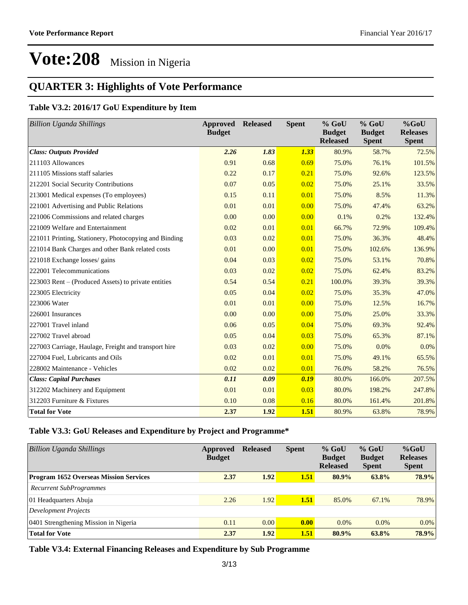### **QUARTER 3: Highlights of Vote Performance**

### **Table V3.2: 2016/17 GoU Expenditure by Item**

| <b>Billion Uganda Shillings</b>                       | Approved<br><b>Budget</b> | <b>Released</b> | <b>Spent</b> | $%$ GoU<br><b>Budget</b><br><b>Released</b> | $%$ GoU<br><b>Budget</b><br><b>Spent</b> | $%$ GoU<br><b>Releases</b><br><b>Spent</b> |
|-------------------------------------------------------|---------------------------|-----------------|--------------|---------------------------------------------|------------------------------------------|--------------------------------------------|
| <b>Class: Outputs Provided</b>                        | 2.26                      | 1.83            | 1.33         | 80.9%                                       | 58.7%                                    | 72.5%                                      |
| 211103 Allowances                                     | 0.91                      | 0.68            | 0.69         | 75.0%                                       | 76.1%                                    | 101.5%                                     |
| 211105 Missions staff salaries                        | 0.22                      | 0.17            | 0.21         | 75.0%                                       | 92.6%                                    | 123.5%                                     |
| 212201 Social Security Contributions                  | 0.07                      | 0.05            | 0.02         | 75.0%                                       | 25.1%                                    | 33.5%                                      |
| 213001 Medical expenses (To employees)                | 0.15                      | 0.11            | 0.01         | 75.0%                                       | 8.5%                                     | 11.3%                                      |
| 221001 Advertising and Public Relations               | 0.01                      | 0.01            | 0.00         | 75.0%                                       | 47.4%                                    | 63.2%                                      |
| 221006 Commissions and related charges                | 0.00                      | 0.00            | 0.00         | 0.1%                                        | 0.2%                                     | 132.4%                                     |
| 221009 Welfare and Entertainment                      | 0.02                      | 0.01            | 0.01         | 66.7%                                       | 72.9%                                    | 109.4%                                     |
| 221011 Printing, Stationery, Photocopying and Binding | 0.03                      | 0.02            | 0.01         | 75.0%                                       | 36.3%                                    | 48.4%                                      |
| 221014 Bank Charges and other Bank related costs      | 0.01                      | 0.00            | 0.01         | 75.0%                                       | 102.6%                                   | 136.9%                                     |
| 221018 Exchange losses/ gains                         | 0.04                      | 0.03            | 0.02         | 75.0%                                       | 53.1%                                    | 70.8%                                      |
| 222001 Telecommunications                             | 0.03                      | 0.02            | 0.02         | 75.0%                                       | 62.4%                                    | 83.2%                                      |
| 223003 Rent – (Produced Assets) to private entities   | 0.54                      | 0.54            | 0.21         | 100.0%                                      | 39.3%                                    | 39.3%                                      |
| 223005 Electricity                                    | 0.05                      | 0.04            | 0.02         | 75.0%                                       | 35.3%                                    | 47.0%                                      |
| 223006 Water                                          | 0.01                      | 0.01            | 0.00         | 75.0%                                       | 12.5%                                    | 16.7%                                      |
| 226001 Insurances                                     | 0.00                      | 0.00            | 0.00         | 75.0%                                       | 25.0%                                    | 33.3%                                      |
| 227001 Travel inland                                  | 0.06                      | 0.05            | 0.04         | 75.0%                                       | 69.3%                                    | 92.4%                                      |
| 227002 Travel abroad                                  | 0.05                      | 0.04            | 0.03         | 75.0%                                       | 65.3%                                    | 87.1%                                      |
| 227003 Carriage, Haulage, Freight and transport hire  | 0.03                      | 0.02            | 0.00         | 75.0%                                       | 0.0%                                     | 0.0%                                       |
| 227004 Fuel, Lubricants and Oils                      | 0.02                      | 0.01            | 0.01         | 75.0%                                       | 49.1%                                    | 65.5%                                      |
| 228002 Maintenance - Vehicles                         | 0.02                      | 0.02            | 0.01         | 76.0%                                       | 58.2%                                    | 76.5%                                      |
| <b>Class: Capital Purchases</b>                       | 0.11                      | 0.09            | 0.19         | 80.0%                                       | 166.0%                                   | 207.5%                                     |
| 312202 Machinery and Equipment                        | 0.01                      | 0.01            | 0.03         | 80.0%                                       | 198.2%                                   | 247.8%                                     |
| 312203 Furniture & Fixtures                           | 0.10                      | 0.08            | 0.16         | 80.0%                                       | 161.4%                                   | 201.8%                                     |
| <b>Total for Vote</b>                                 | 2.37                      | 1.92            | <b>1.51</b>  | 80.9%                                       | 63.8%                                    | 78.9%                                      |

### **Table V3.3: GoU Releases and Expenditure by Project and Programme\***

| <b>Billion Uganda Shillings</b>               | Approved<br><b>Budget</b> | <b>Released</b> | <b>Spent</b> | $%$ GoU<br><b>Budget</b><br><b>Released</b> | $%$ GoU<br><b>Budget</b><br><b>Spent</b> | $%$ GoU<br><b>Releases</b><br><b>Spent</b> |
|-----------------------------------------------|---------------------------|-----------------|--------------|---------------------------------------------|------------------------------------------|--------------------------------------------|
| <b>Program 1652 Overseas Mission Services</b> | 2.37                      | 1.92            | 1.51         | 80.9%                                       | 63.8%                                    | 78.9%                                      |
| <b>Recurrent SubProgrammes</b>                |                           |                 |              |                                             |                                          |                                            |
| 01 Headquarters Abuja                         | 2.26                      | 1.92            | 1.51         | 85.0%                                       | 67.1%                                    | 78.9%                                      |
| Development Projects                          |                           |                 |              |                                             |                                          |                                            |
| 0401 Strengthening Mission in Nigeria         | 0.11                      | 0.00            | 0.00         | 0.0%                                        | 0.0%                                     | $0.0\%$                                    |
| <b>Total for Vote</b>                         | 2.37                      | 1.92            | 1.51         | 80.9%                                       | $63.8\%$                                 | 78.9%                                      |

**Table V3.4: External Financing Releases and Expenditure by Sub Programme**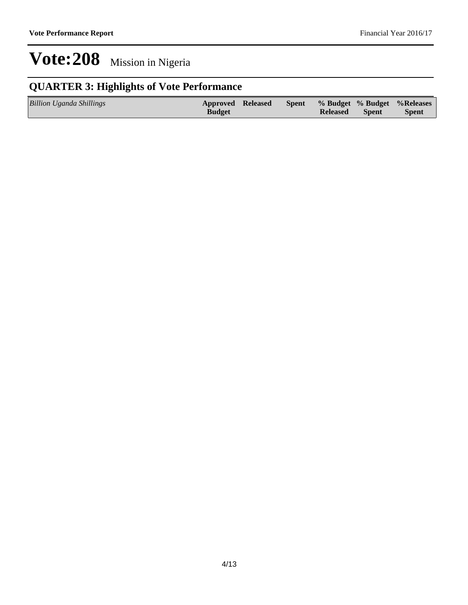## **QUARTER 3: Highlights of Vote Performance**

| <b>Billion Uganda Shillings</b> | <b>Approved Released</b> | <b>Spent</b> |                 |              | % Budget % Budget % Releases |
|---------------------------------|--------------------------|--------------|-----------------|--------------|------------------------------|
|                                 | <b>Budget</b>            |              | <b>Released</b> | <b>Spent</b> | <b>Spent</b>                 |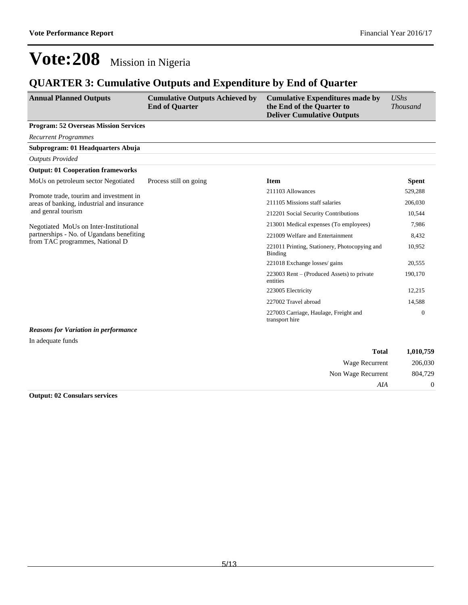### **QUARTER 3: Cumulative Outputs and Expenditure by End of Quarter**

| <b>Annual Planned Outputs</b>                | <b>Cumulative Outputs Achieved by</b><br><b>End of Quarter</b> | <b>Cumulative Expenditures made by</b><br>the End of the Quarter to<br><b>Deliver Cumulative Outputs</b> | <b>UShs</b><br><b>Thousand</b> |
|----------------------------------------------|----------------------------------------------------------------|----------------------------------------------------------------------------------------------------------|--------------------------------|
| <b>Program: 52 Overseas Mission Services</b> |                                                                |                                                                                                          |                                |
| <b>Recurrent Programmes</b>                  |                                                                |                                                                                                          |                                |
| Subprogram: 01 Headquarters Abuja            |                                                                |                                                                                                          |                                |
| <b>Outputs Provided</b>                      |                                                                |                                                                                                          |                                |
| <b>Output: 01 Cooperation frameworks</b>     |                                                                |                                                                                                          |                                |
| MoUs on petroleum sector Negotiated          | Process still on going                                         | <b>Item</b>                                                                                              | <b>Spent</b>                   |
| Promote trade, tourim and investment in      |                                                                | 211103 Allowances                                                                                        | 529,288                        |
| areas of banking, industrial and insurance   |                                                                | 211105 Missions staff salaries                                                                           | 206,030                        |
| and genral tourism                           |                                                                | 212201 Social Security Contributions                                                                     | 10,544                         |
| Negotiated MoUs on Inter-Institutional       |                                                                | 213001 Medical expenses (To employees)                                                                   | 7,986                          |
| partnerships - No. of Ugandans benefiting    |                                                                | 221009 Welfare and Entertainment                                                                         | 8,432                          |
| from TAC programmes, National D              |                                                                | 221011 Printing, Stationery, Photocopying and<br><b>Binding</b>                                          | 10,952                         |
|                                              |                                                                | 221018 Exchange losses/ gains                                                                            | 20,555                         |
|                                              |                                                                | $223003$ Rent – (Produced Assets) to private<br>entities                                                 | 190,170                        |
|                                              |                                                                | 223005 Electricity                                                                                       | 12,215                         |
|                                              |                                                                | 227002 Travel abroad                                                                                     | 14,588                         |
|                                              |                                                                | 227003 Carriage, Haulage, Freight and<br>transport hire                                                  | $\mathbf{0}$                   |
| <b>Reasons for Variation in performance</b>  |                                                                |                                                                                                          |                                |
| In adequate funds                            |                                                                |                                                                                                          |                                |
|                                              |                                                                | <b>Total</b>                                                                                             | 1.010.759                      |

| 1,010,759 | <b>Total</b>       |  |
|-----------|--------------------|--|
| 206,030   | Wage Recurrent     |  |
| 804,729   | Non Wage Recurrent |  |
|           | AIA                |  |

#### **Output: 02 Consulars services**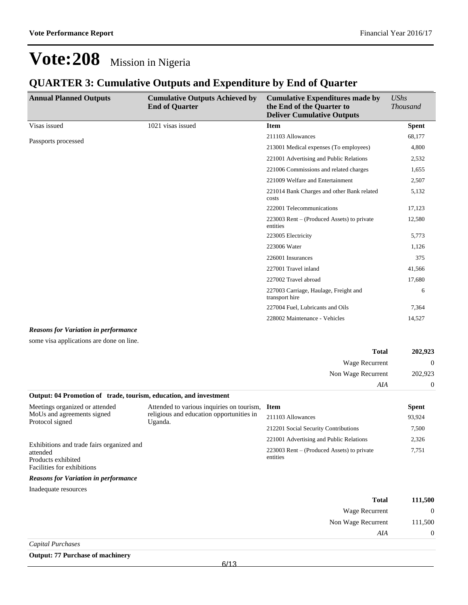Non Wage Recurrent 111,500

*AIA* 0

## **Vote:208** Mission in Nigeria

### **QUARTER 3: Cumulative Outputs and Expenditure by End of Quarter**

| <b>Annual Planned Outputs</b> | <b>Cumulative Outputs Achieved by</b><br><b>End of Quarter</b> | <b>Cumulative Expenditures made by</b><br>the End of the Quarter to<br><b>Deliver Cumulative Outputs</b> | <b>UShs</b><br><b>Thousand</b> |
|-------------------------------|----------------------------------------------------------------|----------------------------------------------------------------------------------------------------------|--------------------------------|
| Visas issued                  | 1021 visas issued                                              | <b>Item</b>                                                                                              | <b>Spent</b>                   |
| Passports processed           |                                                                | 211103 Allowances                                                                                        | 68,177                         |
|                               |                                                                | 213001 Medical expenses (To employees)                                                                   | 4,800                          |
|                               |                                                                | 221001 Advertising and Public Relations                                                                  | 2,532                          |
|                               |                                                                | 221006 Commissions and related charges                                                                   | 1,655                          |
|                               |                                                                | 221009 Welfare and Entertainment                                                                         | 2,507                          |
|                               |                                                                | 221014 Bank Charges and other Bank related<br>costs                                                      | 5,132                          |
|                               |                                                                | 222001 Telecommunications                                                                                | 17,123                         |
|                               |                                                                | $223003$ Rent – (Produced Assets) to private<br>entities                                                 | 12,580                         |
|                               |                                                                | 223005 Electricity                                                                                       | 5,773                          |
|                               |                                                                | 223006 Water                                                                                             | 1,126                          |
|                               |                                                                | 226001 Insurances                                                                                        | 375                            |
|                               |                                                                | 227001 Travel inland                                                                                     | 41,566                         |
|                               |                                                                | 227002 Travel abroad                                                                                     | 17,680                         |
|                               |                                                                | 227003 Carriage, Haulage, Freight and<br>transport hire                                                  | 6                              |
|                               |                                                                | 227004 Fuel, Lubricants and Oils                                                                         | 7,364                          |
|                               |                                                                | 228002 Maintenance - Vehicles                                                                            | 14,527                         |

#### *Reasons for Variation in performance*

some visa applications are done on line.

| <b>Total</b>                                                      | 202,923  |
|-------------------------------------------------------------------|----------|
| Wage Recurrent                                                    | $\Omega$ |
| Non Wage Recurrent                                                | 202,923  |
| AIA                                                               | $\Omega$ |
| Output: 04 Promotion of trade, tourism, education, and investment |          |

| Meetings organized or attended                                                                            | Attended to various inquiries on tourism, Item      |                                                          | <b>Spent</b> |
|-----------------------------------------------------------------------------------------------------------|-----------------------------------------------------|----------------------------------------------------------|--------------|
| MoUs and agreements signed                                                                                | religious and education opportunities in<br>Uganda. | 211103 Allowances                                        | 93,924       |
| Protocol signed                                                                                           |                                                     | 212201 Social Security Contributions                     | 7,500        |
|                                                                                                           |                                                     | 221001 Advertising and Public Relations                  | 2,326        |
| Exhibitions and trade fairs organized and<br>attended<br>Products exhibited<br>Facilities for exhibitions |                                                     | $223003$ Rent – (Produced Assets) to private<br>entities | 7,751        |
| <b>Reasons for Variation in performance</b>                                                               |                                                     |                                                          |              |
| Inadequate resources                                                                                      |                                                     |                                                          |              |
|                                                                                                           |                                                     | <b>Total</b>                                             | 111,500      |
|                                                                                                           |                                                     | Wage Recurrent                                           | $\Omega$     |

|  | Capital Purchases |
|--|-------------------|
|--|-------------------|

#### **Output: 77 Purchase of machinery**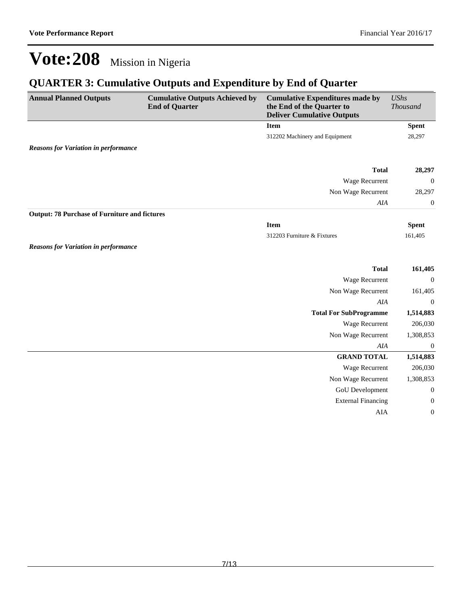### **QUARTER 3: Cumulative Outputs and Expenditure by End of Quarter**

| <b>Annual Planned Outputs</b>                        | <b>Cumulative Outputs Achieved by</b><br><b>End of Quarter</b> | <b>Cumulative Expenditures made by</b><br>the End of the Quarter to<br><b>Deliver Cumulative Outputs</b> | <b>UShs</b><br>Thousand |
|------------------------------------------------------|----------------------------------------------------------------|----------------------------------------------------------------------------------------------------------|-------------------------|
|                                                      |                                                                | <b>Item</b>                                                                                              | <b>Spent</b>            |
|                                                      |                                                                | 312202 Machinery and Equipment                                                                           | 28,297                  |
| <b>Reasons for Variation in performance</b>          |                                                                |                                                                                                          |                         |
|                                                      |                                                                | <b>Total</b>                                                                                             | 28,297                  |
|                                                      |                                                                | Wage Recurrent                                                                                           | $\boldsymbol{0}$        |
|                                                      |                                                                | Non Wage Recurrent                                                                                       | 28,297                  |
|                                                      |                                                                | AIA                                                                                                      | $\boldsymbol{0}$        |
| <b>Output: 78 Purchase of Furniture and fictures</b> |                                                                |                                                                                                          |                         |
|                                                      |                                                                | <b>Item</b>                                                                                              | <b>Spent</b>            |
|                                                      |                                                                | 312203 Furniture & Fixtures                                                                              | 161,405                 |
| <b>Reasons for Variation in performance</b>          |                                                                |                                                                                                          |                         |
|                                                      |                                                                | <b>Total</b>                                                                                             | 161,405                 |
|                                                      |                                                                | Wage Recurrent                                                                                           | $\boldsymbol{0}$        |
|                                                      |                                                                | Non Wage Recurrent                                                                                       | 161,405                 |
|                                                      |                                                                | AIA                                                                                                      | $\boldsymbol{0}$        |
|                                                      |                                                                | <b>Total For SubProgramme</b>                                                                            | 1,514,883               |
|                                                      |                                                                | Wage Recurrent                                                                                           | 206,030                 |
|                                                      |                                                                | Non Wage Recurrent                                                                                       | 1,308,853               |
|                                                      |                                                                | AIA                                                                                                      | $\boldsymbol{0}$        |
|                                                      |                                                                | <b>GRAND TOTAL</b>                                                                                       | 1,514,883               |
|                                                      |                                                                | Wage Recurrent                                                                                           | 206,030                 |
|                                                      |                                                                | Non Wage Recurrent                                                                                       | 1,308,853               |
|                                                      |                                                                | GoU Development                                                                                          | $\boldsymbol{0}$        |
|                                                      |                                                                | <b>External Financing</b>                                                                                | $\boldsymbol{0}$        |
|                                                      |                                                                | AIA                                                                                                      | $\boldsymbol{0}$        |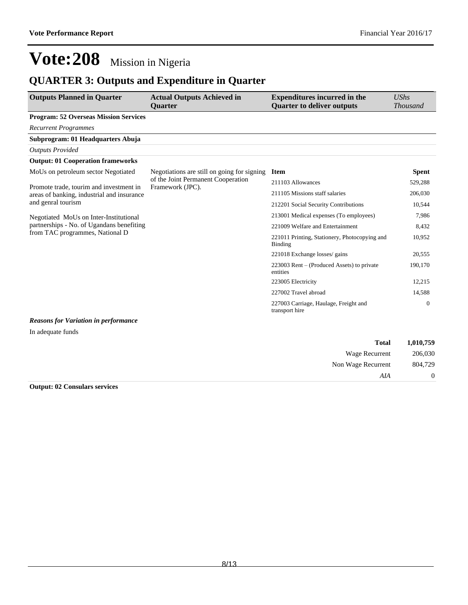## **QUARTER 3: Outputs and Expenditure in Quarter**

| <b>Outputs Planned in Quarter</b>            | <b>Actual Outputs Achieved in</b><br><b>Ouarter</b>    | <b>Expenditures incurred in the</b><br><b>Quarter to deliver outputs</b> | <b>UShs</b><br><b>Thousand</b> |
|----------------------------------------------|--------------------------------------------------------|--------------------------------------------------------------------------|--------------------------------|
| <b>Program: 52 Overseas Mission Services</b> |                                                        |                                                                          |                                |
| <b>Recurrent Programmes</b>                  |                                                        |                                                                          |                                |
| Subprogram: 01 Headquarters Abuja            |                                                        |                                                                          |                                |
| <b>Outputs Provided</b>                      |                                                        |                                                                          |                                |
| <b>Output: 01 Cooperation frameworks</b>     |                                                        |                                                                          |                                |
| MoUs on petroleum sector Negotiated          | Negotiations are still on going for signing            | <b>Item</b>                                                              | <b>Spent</b>                   |
| Promote trade, tourim and investment in      | of the Joint Permanent Cooperation<br>Framework (JPC). | 211103 Allowances                                                        | 529,288                        |
| areas of banking, industrial and insurance   |                                                        | 211105 Missions staff salaries                                           | 206,030                        |
| and genral tourism                           |                                                        | 212201 Social Security Contributions                                     | 10,544                         |
| Negotiated MoUs on Inter-Institutional       |                                                        | 213001 Medical expenses (To employees)                                   | 7,986                          |
| partnerships - No. of Ugandans benefiting    |                                                        | 221009 Welfare and Entertainment                                         | 8,432                          |
| from TAC programmes, National D              |                                                        | 221011 Printing, Stationery, Photocopying and<br><b>Binding</b>          | 10,952                         |
|                                              |                                                        | 221018 Exchange losses/ gains                                            | 20,555                         |
|                                              |                                                        | 223003 Rent – (Produced Assets) to private<br>entities                   | 190,170                        |
|                                              |                                                        | 223005 Electricity                                                       | 12,215                         |
|                                              |                                                        | 227002 Travel abroad                                                     | 14,588                         |
|                                              |                                                        | 227003 Carriage, Haulage, Freight and<br>transport hire                  | $\overline{0}$                 |
| <b>Reasons for Variation in performance</b>  |                                                        |                                                                          |                                |

In adequate funds

| 1,010,759 | <b>Total</b>       |
|-----------|--------------------|
| 206,030   | Wage Recurrent     |
| 804,729   | Non Wage Recurrent |
| $\theta$  | AIA                |

#### **Output: 02 Consulars services**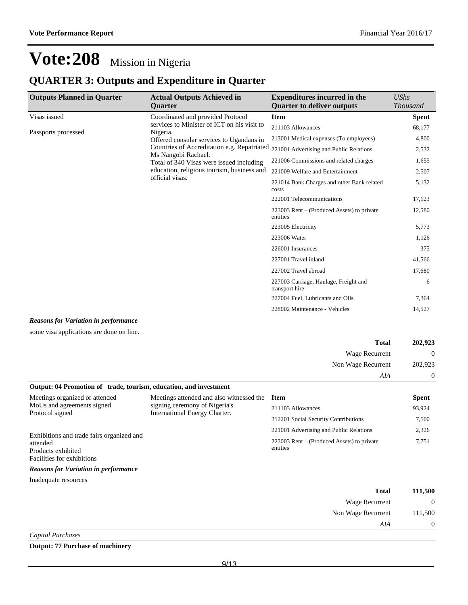### **QUARTER 3: Outputs and Expenditure in Quarter**

| <b>Outputs Planned in Quarter</b> | <b>Actual Outputs Achieved in</b><br><b>Ouarter</b>                | <b>Expenditures incurred in the</b><br><b>Quarter to deliver outputs</b> | UShs<br><b>Thousand</b> |
|-----------------------------------|--------------------------------------------------------------------|--------------------------------------------------------------------------|-------------------------|
| Visas issued                      | Coordinated and provided Protocol                                  | <b>Item</b>                                                              | Spent                   |
| Passports processed               | services to Minister of ICT on his visit to<br>Nigeria.            | 211103 Allowances                                                        | 68,177                  |
|                                   | Offered consular services to Ugandans in                           | 213001 Medical expenses (To employees)                                   | 4,800                   |
|                                   | Countries of Accreditation e.g. Repatriated<br>Ms Nangobi Rachael. | 221001 Advertising and Public Relations                                  | 2,532                   |
|                                   | Total of 340 Visas were issued including                           | 221006 Commissions and related charges                                   | 1,655                   |
|                                   | education, religious tourism, business and<br>official visas.      | 221009 Welfare and Entertainment                                         | 2,507                   |
|                                   |                                                                    | 221014 Bank Charges and other Bank related<br>costs                      | 5,132                   |
|                                   |                                                                    | 222001 Telecommunications                                                | 17,123                  |
|                                   |                                                                    | 223003 Rent – (Produced Assets) to private<br>entities                   | 12,580                  |
|                                   |                                                                    | 223005 Electricity                                                       | 5,773                   |
|                                   |                                                                    | 223006 Water                                                             | 1,126                   |
|                                   |                                                                    | 226001 Insurances                                                        | 375                     |
|                                   |                                                                    | 227001 Travel inland                                                     | 41,566                  |
|                                   |                                                                    | 227002 Travel abroad                                                     | 17,680                  |
|                                   |                                                                    | 227003 Carriage, Haulage, Freight and<br>transport hire                  | 6                       |
|                                   |                                                                    | 227004 Fuel, Lubricants and Oils                                         | 7,364                   |
|                                   |                                                                    | 228002 Maintenance - Vehicles                                            | 14,527                  |

#### *Reasons for Variation in performance*

some visa applications are done on line.

| <b>Total</b>                                                      | 202.923 |
|-------------------------------------------------------------------|---------|
| Wage Recurrent                                                    | 0       |
| Non Wage Recurrent                                                | 202,923 |
| AIA                                                               |         |
| Output: 04 Promotion of trade, tourism, education, and investment |         |

#### Meetings organized or attended MoUs and agreements signed Protocol signed Exhibitions and trade fairs organized and attended Products exhibited Facilities for exhibitions Meetings attended and also witnessed the Item signing ceremony of Nigeria's International Energy Charter. **Spent** 211103 Allowances 93,924 212201 Social Security Contributions 7,500 221001 Advertising and Public Relations 2,326  $223003$  Rent  $-$  (Produced Assets) to private entities 7,751 *Reasons for Variation in performance*

| <b>Total</b>       | 111,500 |
|--------------------|---------|
| Wage Recurrent     |         |
| Non Wage Recurrent | 111,500 |
| AIA                |         |
| Capital Purchases  |         |

#### **Output: 77 Purchase of machinery**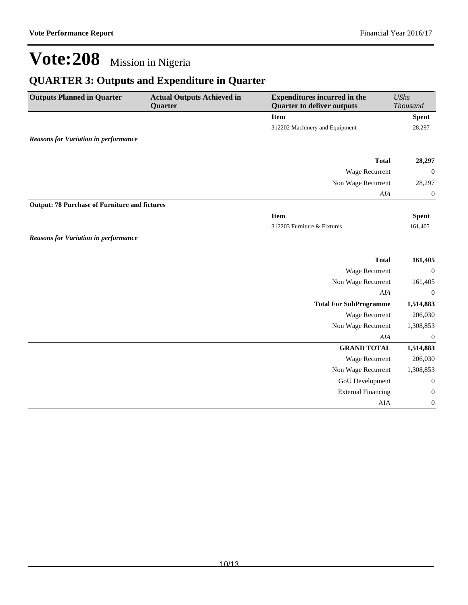## **QUARTER 3: Outputs and Expenditure in Quarter**

| <b>Item</b><br><b>Spent</b><br>312202 Machinery and Equipment<br>28,297<br><b>Reasons for Variation in performance</b><br><b>Total</b><br>Wage Recurrent<br>Non Wage Recurrent<br>AIA<br><b>Output: 78 Purchase of Furniture and fictures</b><br><b>Item</b><br><b>Spent</b><br>312203 Furniture & Fixtures<br>161,405<br><b>Reasons for Variation in performance</b><br><b>Total</b><br>Wage Recurrent<br>Non Wage Recurrent<br>AIA<br><b>Total For SubProgramme</b><br>Wage Recurrent<br>Non Wage Recurrent<br>AIA<br><b>GRAND TOTAL</b><br>Wage Recurrent<br>Non Wage Recurrent<br><b>GoU</b> Development<br><b>External Financing</b><br>AIA | <b>Outputs Planned in Quarter</b> | <b>Actual Outputs Achieved in</b><br>Quarter | <b>Expenditures incurred in the</b><br><b>Quarter to deliver outputs</b> | <b>UShs</b><br><b>Thousand</b> |
|--------------------------------------------------------------------------------------------------------------------------------------------------------------------------------------------------------------------------------------------------------------------------------------------------------------------------------------------------------------------------------------------------------------------------------------------------------------------------------------------------------------------------------------------------------------------------------------------------------------------------------------------------|-----------------------------------|----------------------------------------------|--------------------------------------------------------------------------|--------------------------------|
|                                                                                                                                                                                                                                                                                                                                                                                                                                                                                                                                                                                                                                                  |                                   |                                              |                                                                          |                                |
|                                                                                                                                                                                                                                                                                                                                                                                                                                                                                                                                                                                                                                                  |                                   |                                              |                                                                          |                                |
|                                                                                                                                                                                                                                                                                                                                                                                                                                                                                                                                                                                                                                                  |                                   |                                              |                                                                          |                                |
|                                                                                                                                                                                                                                                                                                                                                                                                                                                                                                                                                                                                                                                  |                                   |                                              |                                                                          | 28,297                         |
|                                                                                                                                                                                                                                                                                                                                                                                                                                                                                                                                                                                                                                                  |                                   |                                              |                                                                          | $\boldsymbol{0}$               |
|                                                                                                                                                                                                                                                                                                                                                                                                                                                                                                                                                                                                                                                  |                                   |                                              |                                                                          | 28,297                         |
|                                                                                                                                                                                                                                                                                                                                                                                                                                                                                                                                                                                                                                                  |                                   |                                              |                                                                          | $\boldsymbol{0}$               |
|                                                                                                                                                                                                                                                                                                                                                                                                                                                                                                                                                                                                                                                  |                                   |                                              |                                                                          |                                |
|                                                                                                                                                                                                                                                                                                                                                                                                                                                                                                                                                                                                                                                  |                                   |                                              |                                                                          |                                |
|                                                                                                                                                                                                                                                                                                                                                                                                                                                                                                                                                                                                                                                  |                                   |                                              |                                                                          |                                |
|                                                                                                                                                                                                                                                                                                                                                                                                                                                                                                                                                                                                                                                  |                                   |                                              |                                                                          |                                |
|                                                                                                                                                                                                                                                                                                                                                                                                                                                                                                                                                                                                                                                  |                                   |                                              |                                                                          | 161,405                        |
|                                                                                                                                                                                                                                                                                                                                                                                                                                                                                                                                                                                                                                                  |                                   |                                              |                                                                          | $\boldsymbol{0}$               |
|                                                                                                                                                                                                                                                                                                                                                                                                                                                                                                                                                                                                                                                  |                                   |                                              |                                                                          | 161,405                        |
|                                                                                                                                                                                                                                                                                                                                                                                                                                                                                                                                                                                                                                                  |                                   |                                              |                                                                          | $\overline{0}$                 |
|                                                                                                                                                                                                                                                                                                                                                                                                                                                                                                                                                                                                                                                  |                                   |                                              |                                                                          | 1,514,883                      |
|                                                                                                                                                                                                                                                                                                                                                                                                                                                                                                                                                                                                                                                  |                                   |                                              |                                                                          | 206,030                        |
|                                                                                                                                                                                                                                                                                                                                                                                                                                                                                                                                                                                                                                                  |                                   |                                              |                                                                          | 1,308,853                      |
|                                                                                                                                                                                                                                                                                                                                                                                                                                                                                                                                                                                                                                                  |                                   |                                              |                                                                          | $\boldsymbol{0}$               |
|                                                                                                                                                                                                                                                                                                                                                                                                                                                                                                                                                                                                                                                  |                                   |                                              |                                                                          | 1,514,883                      |
|                                                                                                                                                                                                                                                                                                                                                                                                                                                                                                                                                                                                                                                  |                                   |                                              |                                                                          | 206,030                        |
|                                                                                                                                                                                                                                                                                                                                                                                                                                                                                                                                                                                                                                                  |                                   |                                              |                                                                          | 1,308,853                      |
|                                                                                                                                                                                                                                                                                                                                                                                                                                                                                                                                                                                                                                                  |                                   |                                              |                                                                          | $\boldsymbol{0}$               |
|                                                                                                                                                                                                                                                                                                                                                                                                                                                                                                                                                                                                                                                  |                                   |                                              |                                                                          | $\boldsymbol{0}$               |
|                                                                                                                                                                                                                                                                                                                                                                                                                                                                                                                                                                                                                                                  |                                   |                                              |                                                                          | $\boldsymbol{0}$               |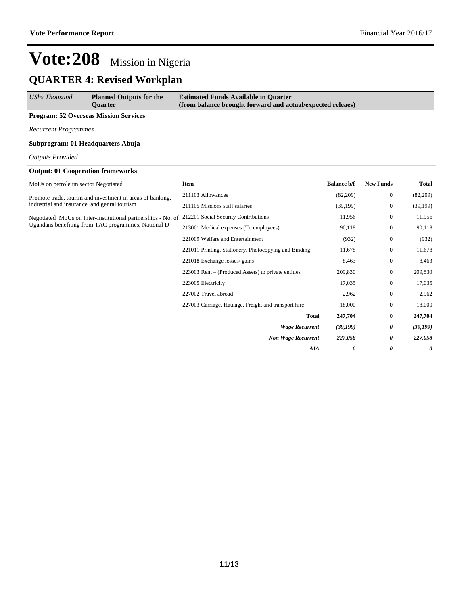### **QUARTER 4: Revised Workplan**

| UShs Thousand | <b>Planned Outputs for the</b><br><b>Ouarter</b> | <b>Estimated Funds Available in Quarter</b><br>(from balance brought forward and actual/expected releaes) |
|---------------|--------------------------------------------------|-----------------------------------------------------------------------------------------------------------|
|               |                                                  |                                                                                                           |

#### **Program: 52 Overseas Mission Services**

*Recurrent Programmes*

#### **Subprogram: 01 Headquarters Abuja**

#### *Outputs Provided*

#### **Output: 01 Cooperation frameworks**

| MoUs on petroleum sector Negotiated                          | <b>Item</b>                                           | <b>Balance b/f</b> | <b>New Funds</b> | <b>Total</b>                                                                                                                        |
|--------------------------------------------------------------|-------------------------------------------------------|--------------------|------------------|-------------------------------------------------------------------------------------------------------------------------------------|
| Promote trade, tourim and investment in areas of banking,    | 211103 Allowances                                     | (82,209)           | $\boldsymbol{0}$ | (82,209)                                                                                                                            |
| industrial and insurance and genral tourism                  | 211105 Missions staff salaries                        | (39,199)           | $\boldsymbol{0}$ | (39,199)<br>11,956<br>90,118<br>(932)<br>11,678<br>8,463<br>209,830<br>17,035<br>2,962<br>18,000<br>247,704<br>(39, 199)<br>227,058 |
| Negotiated MoUs on Inter-Institutional partnerships - No. of | 212201 Social Security Contributions                  | 11,956             | $\mathbf{0}$     |                                                                                                                                     |
| Ugandans benefiting from TAC programmes, National D          | 213001 Medical expenses (To employees)                | 90,118             | $\boldsymbol{0}$ |                                                                                                                                     |
|                                                              | 221009 Welfare and Entertainment                      | (932)              | $\mathbf{0}$     |                                                                                                                                     |
|                                                              | 221011 Printing, Stationery, Photocopying and Binding | 11,678             | $\mathbf{0}$     |                                                                                                                                     |
|                                                              | 221018 Exchange losses/ gains                         | 8,463              | $\boldsymbol{0}$ |                                                                                                                                     |
|                                                              | 223003 Rent – (Produced Assets) to private entities   | 209,830            | $\boldsymbol{0}$ |                                                                                                                                     |
|                                                              | 223005 Electricity                                    | 17,035             | $\mathbf{0}$     |                                                                                                                                     |
|                                                              | 227002 Travel abroad                                  | 2,962              | $\boldsymbol{0}$ |                                                                                                                                     |
|                                                              | 227003 Carriage, Haulage, Freight and transport hire  | 18,000             | $\mathbf{0}$     |                                                                                                                                     |
|                                                              | <b>Total</b>                                          | 247,704            | $\mathbf{0}$     |                                                                                                                                     |
|                                                              | <b>Wage Recurrent</b>                                 | (39,199)           | 0                |                                                                                                                                     |
|                                                              | <b>Non Wage Recurrent</b>                             | 227,058            | 0                |                                                                                                                                     |
|                                                              | AIA                                                   | 0                  | 0                | 0                                                                                                                                   |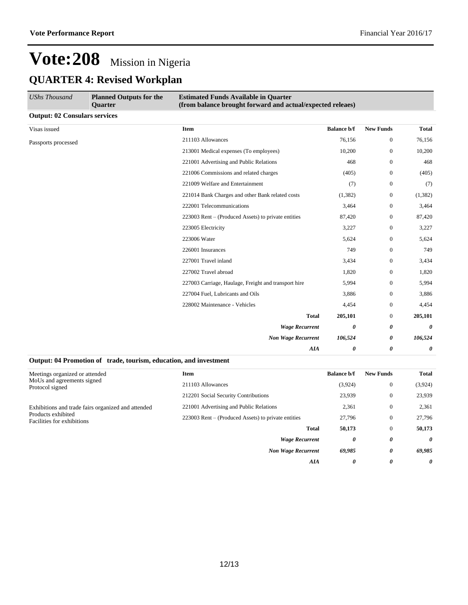## **Vote:208** Mission in Nigeria **QUARTER 4: Revised Workplan**

| <b>UShs Thousand</b>                 | <b>Planned Outputs for the</b><br>Quarter | <b>Estimated Funds Available in Quarter</b><br>(from balance brought forward and actual/expected releaes) |                    |                  |              |
|--------------------------------------|-------------------------------------------|-----------------------------------------------------------------------------------------------------------|--------------------|------------------|--------------|
| <b>Output: 02 Consulars services</b> |                                           |                                                                                                           |                    |                  |              |
| Visas issued                         |                                           | <b>Item</b>                                                                                               | <b>Balance b/f</b> | <b>New Funds</b> | <b>Total</b> |
| Passports processed                  |                                           | 211103 Allowances                                                                                         | 76,156             | $\boldsymbol{0}$ | 76,156       |
|                                      |                                           | 213001 Medical expenses (To employees)                                                                    | 10,200             | $\boldsymbol{0}$ | 10,200       |
|                                      |                                           | 221001 Advertising and Public Relations                                                                   | 468                | $\mathbf{0}$     | 468          |
|                                      |                                           | 221006 Commissions and related charges                                                                    | (405)              | $\mathbf{0}$     | (405)        |
|                                      |                                           | 221009 Welfare and Entertainment                                                                          | (7)                | $\boldsymbol{0}$ | (7)          |
|                                      |                                           | 221014 Bank Charges and other Bank related costs                                                          | (1,382)            | $\mathbf{0}$     | (1, 382)     |
|                                      |                                           | 222001 Telecommunications                                                                                 | 3,464              | $\mathbf{0}$     | 3,464        |
|                                      |                                           | 223003 Rent – (Produced Assets) to private entities                                                       | 87,420             | $\boldsymbol{0}$ | 87,420       |
|                                      |                                           | 223005 Electricity                                                                                        | 3,227              | $\mathbf{0}$     | 3,227        |
|                                      |                                           | 223006 Water                                                                                              | 5,624              | $\mathbf{0}$     | 5,624        |
|                                      |                                           | 226001 Insurances                                                                                         | 749                | $\mathbf{0}$     | 749          |
|                                      |                                           | 227001 Travel inland                                                                                      | 3,434              | $\boldsymbol{0}$ | 3,434        |
|                                      |                                           | 227002 Travel abroad                                                                                      | 1,820              | $\mathbf{0}$     | 1,820        |
|                                      |                                           | 227003 Carriage, Haulage, Freight and transport hire                                                      | 5,994              | $\mathbf{0}$     | 5,994        |
|                                      |                                           | 227004 Fuel, Lubricants and Oils                                                                          | 3,886              | $\mathbf{0}$     | 3,886        |
|                                      |                                           | 228002 Maintenance - Vehicles                                                                             | 4,454              | $\Omega$         | 4,454        |
|                                      |                                           | <b>Total</b>                                                                                              | 205,101            | $\mathbf{0}$     | 205,101      |
|                                      |                                           | <b>Wage Recurrent</b>                                                                                     | 0                  | 0                | 0            |
|                                      |                                           | <b>Non Wage Recurrent</b>                                                                                 | 106,524            | 0                | 106,524      |
|                                      |                                           | <b>AIA</b>                                                                                                | 0                  | 0                | 0            |

#### **Output: 04 Promotion of trade, tourism, education, and investment**

| Meetings organized or attended                     | <b>Item</b>                                         | <b>Balance b/f</b> | <b>New Funds</b> | Total   |
|----------------------------------------------------|-----------------------------------------------------|--------------------|------------------|---------|
| MoUs and agreements signed<br>Protocol signed      | 211103 Allowances                                   | (3,924)            | $\mathbf{0}$     | (3,924) |
|                                                    | 212201 Social Security Contributions                | 23.939             | $\mathbf{0}$     | 23,939  |
| Exhibitions and trade fairs organized and attended | 221001 Advertising and Public Relations             | 2,361              | $\mathbf{0}$     | 2,361   |
| Products exhibited<br>Facilities for exhibitions   | 223003 Rent – (Produced Assets) to private entities | 27,796             | $\mathbf{0}$     | 27,796  |
|                                                    | Total                                               | 50,173             | $\mathbf{0}$     | 50,173  |
|                                                    | <b>Wage Recurrent</b>                               | 0                  | 0                | 0       |
|                                                    | <b>Non Wage Recurrent</b>                           | 69,985             | 0                | 69,985  |
|                                                    | AIA                                                 | 0                  | 0                | 0       |